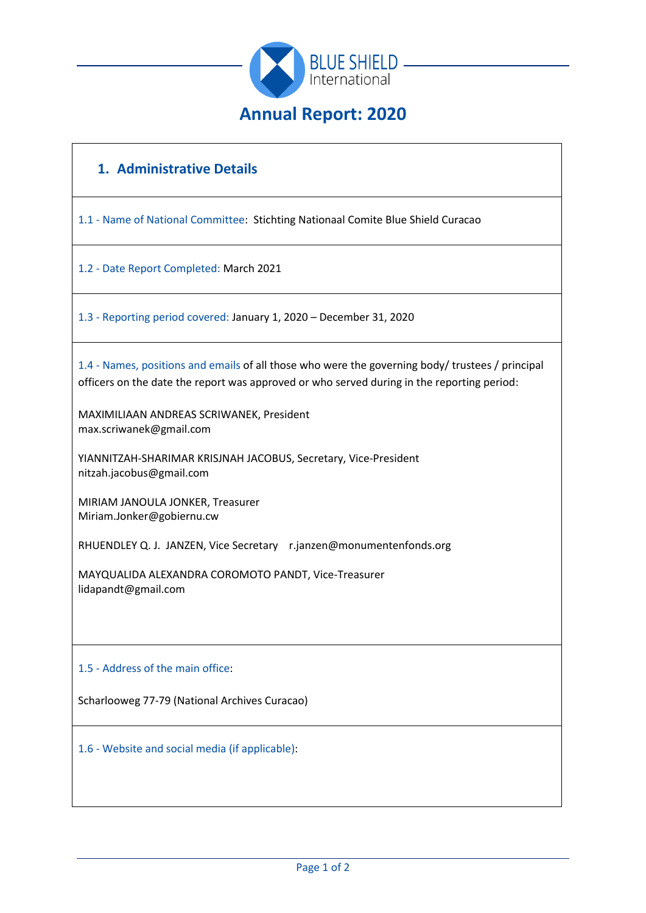

# **1. Administrative Details**

1.1 - Name of National Committee: Stichting Nationaal Comite Blue Shield Curacao

1.2 - Date Report Completed: March 2021

1.3 - Reporting period covered: January 1, 2020 – December 31, 2020

1.4 - Names, positions and emails of all those who were the governing body/ trustees / principal officers on the date the report was approved or who served during in the reporting period:

MAXIMILIAAN ANDREAS SCRIWANEK, President max.scriwanek@gmail.com

YIANNITZAH-SHARIMAR KRISJNAH JACOBUS, Secretary, Vice-President nitzah.jacobus@gmail.com

MIRIAM JANOULA JONKER, Treasurer Miriam.Jonker@gobiernu.cw

RHUENDLEY Q. J. JANZEN, Vice Secretary r.janzen@monumentenfonds.org

MAYQUALIDA ALEXANDRA COROMOTO PANDT, Vice-Treasurer lidapandt@gmail.com

### 1.5 - Address of the main office:

Scharlooweg 77-79 (National Archives Curacao)

1.6 - Website and social media (if applicable):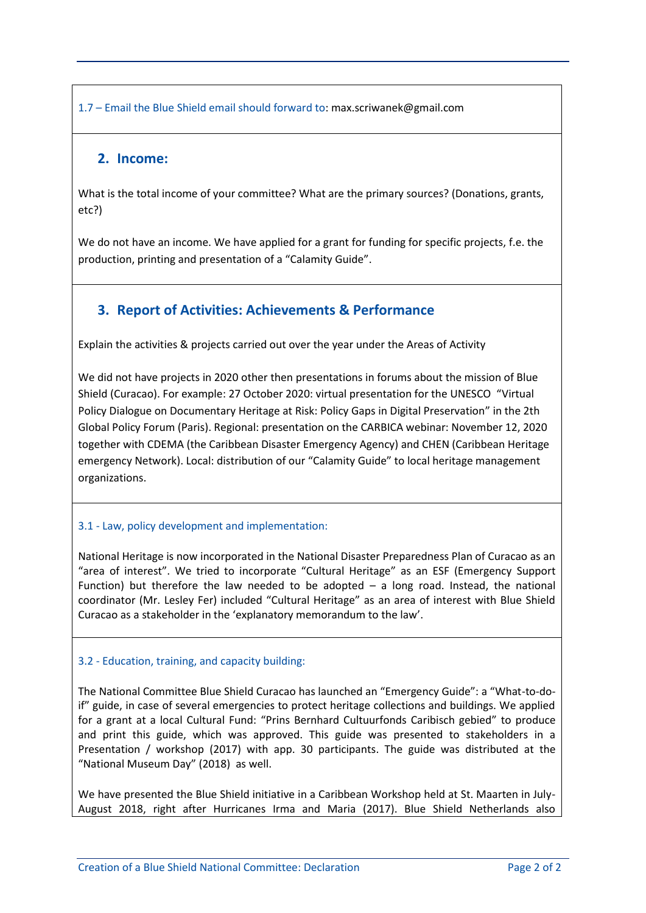1.7 – Email the Blue Shield email should forward to: max.scriwanek@gmail.com

### **2. Income:**

What is the total income of your committee? What are the primary sources? (Donations, grants, etc?)

We do not have an income. We have applied for a grant for funding for specific projects, f.e. the production, printing and presentation of a "Calamity Guide".

## **3. Report of Activities: Achievements & Performance**

Explain the activities & projects carried out over the year under the Areas of Activity

We did not have projects in 2020 other then presentations in forums about the mission of Blue Shield (Curacao). For example: 27 October 2020: virtual presentation for the UNESCO "Virtual Policy Dialogue on Documentary Heritage at Risk: Policy Gaps in Digital Preservation" in the 2th Global Policy Forum (Paris). Regional: presentation on the CARBICA webinar: November 12, 2020 together with CDEMA (the Caribbean Disaster Emergency Agency) and CHEN (Caribbean Heritage emergency Network). Local: distribution of our "Calamity Guide" to local heritage management organizations.

### 3.1 - Law, policy development and implementation:

National Heritage is now incorporated in the National Disaster Preparedness Plan of Curacao as an "area of interest". We tried to incorporate "Cultural Heritage" as an ESF (Emergency Support Function) but therefore the law needed to be adopted  $-$  a long road. Instead, the national coordinator (Mr. Lesley Fer) included "Cultural Heritage" as an area of interest with Blue Shield Curacao as a stakeholder in the 'explanatory memorandum to the law'.

### 3.2 - Education, training, and capacity building:

The National Committee Blue Shield Curacao has launched an "Emergency Guide": a "What-to-doif" guide, in case of several emergencies to protect heritage collections and buildings. We applied for a grant at a local Cultural Fund: "Prins Bernhard Cultuurfonds Caribisch gebied" to produce and print this guide, which was approved. This guide was presented to stakeholders in a Presentation / workshop (2017) with app. 30 participants. The guide was distributed at the "National Museum Day" (2018) as well.

We have presented the Blue Shield initiative in a Caribbean Workshop held at St. Maarten in July-August 2018, right after Hurricanes Irma and Maria (2017). Blue Shield Netherlands also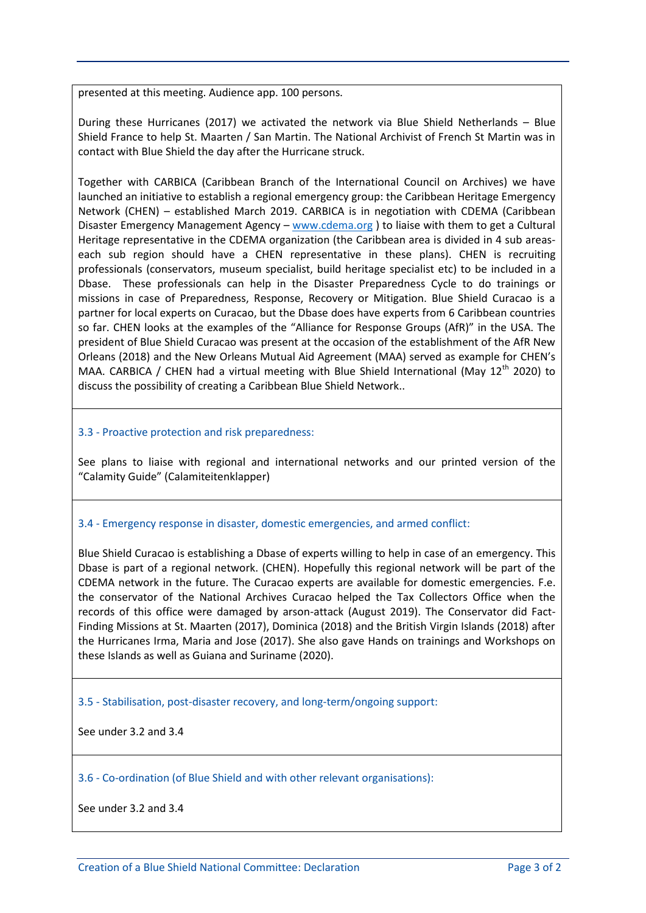presented at this meeting. Audience app. 100 persons.

During these Hurricanes (2017) we activated the network via Blue Shield Netherlands – Blue Shield France to help St. Maarten / San Martin. The National Archivist of French St Martin was in contact with Blue Shield the day after the Hurricane struck.

Together with CARBICA (Caribbean Branch of the International Council on Archives) we have launched an initiative to establish a regional emergency group: the Caribbean Heritage Emergency Network (CHEN) – established March 2019. CARBICA is in negotiation with CDEMA (Caribbean Disaster Emergency Management Agency - [www.cdema.org](http://www.cdema.org/) ) to liaise with them to get a Cultural Heritage representative in the CDEMA organization (the Caribbean area is divided in 4 sub areaseach sub region should have a CHEN representative in these plans). CHEN is recruiting professionals (conservators, museum specialist, build heritage specialist etc) to be included in a Dbase. These professionals can help in the Disaster Preparedness Cycle to do trainings or missions in case of Preparedness, Response, Recovery or Mitigation. Blue Shield Curacao is a partner for local experts on Curacao, but the Dbase does have experts from 6 Caribbean countries so far. CHEN looks at the examples of the "Alliance for Response Groups (AfR)" in the USA. The president of Blue Shield Curacao was present at the occasion of the establishment of the AfR New Orleans (2018) and the New Orleans Mutual Aid Agreement (MAA) served as example for CHEN's MAA. CARBICA / CHEN had a virtual meeting with Blue Shield International (May 12<sup>th</sup> 2020) to discuss the possibility of creating a Caribbean Blue Shield Network..

#### 3.3 - Proactive protection and risk preparedness:

See plans to liaise with regional and international networks and our printed version of the "Calamity Guide" (Calamiteitenklapper)

#### 3.4 - Emergency response in disaster, domestic emergencies, and armed conflict:

Blue Shield Curacao is establishing a Dbase of experts willing to help in case of an emergency. This Dbase is part of a regional network. (CHEN). Hopefully this regional network will be part of the CDEMA network in the future. The Curacao experts are available for domestic emergencies. F.e. the conservator of the National Archives Curacao helped the Tax Collectors Office when the records of this office were damaged by arson-attack (August 2019). The Conservator did Fact-Finding Missions at St. Maarten (2017), Dominica (2018) and the British Virgin Islands (2018) after the Hurricanes Irma, Maria and Jose (2017). She also gave Hands on trainings and Workshops on these Islands as well as Guiana and Suriname (2020).

3.5 - Stabilisation, post-disaster recovery, and long-term/ongoing support:

See under 3.2 and 3.4

3.6 - Co-ordination (of Blue Shield and with other relevant organisations):

See under 3.2 and 3.4